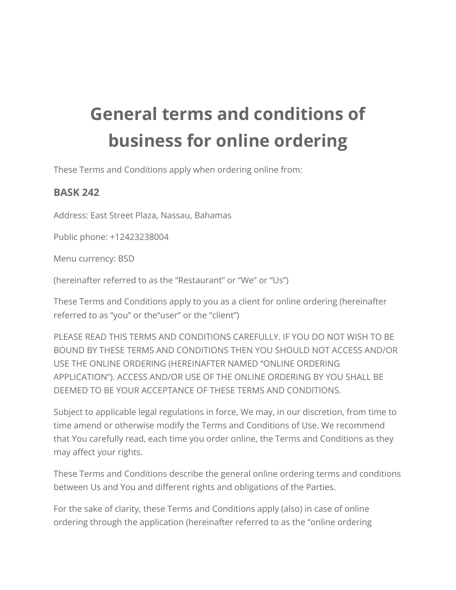## **General terms and conditions of business for online ordering**

These Terms and Conditions apply when ordering online from:

## **BASK 242**

Address: East Street Plaza, Nassau, Bahamas

Public phone: +12423238004

Menu currency: BSD

(hereinafter referred to as the "Restaurant" or "We" or "Us")

These Terms and Conditions apply to you as a client for online ordering (hereinafter referred to as "you" or the"user" or the "client")

PLEASE READ THIS TERMS AND CONDITIONS CAREFULLY. IF YOU DO NOT WISH TO BE BOUND BY THESE TERMS AND CONDITIONS THEN YOU SHOULD NOT ACCESS AND/OR USE THE ONLINE ORDERING (HEREINAFTER NAMED "ONLINE ORDERING APPLICATION"). ACCESS AND/OR USE OF THE ONLINE ORDERING BY YOU SHALL BE DEEMED TO BE YOUR ACCEPTANCE OF THESE TERMS AND CONDITIONS.

Subject to applicable legal regulations in force, We may, in our discretion, from time to time amend or otherwise modify the Terms and Conditions of Use. We recommend that You carefully read, each time you order online, the Terms and Conditions as they may affect your rights.

These Terms and Conditions describe the general online ordering terms and conditions between Us and You and different rights and obligations of the Parties.

For the sake of clarity, these Terms and Conditions apply (also) in case of online ordering through the application (hereinafter referred to as the "online ordering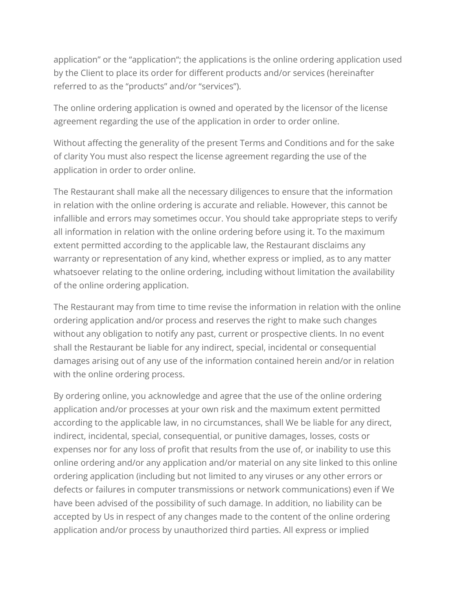application" or the "application"; the applications is the online ordering application used by the Client to place its order for different products and/or services (hereinafter referred to as the "products" and/or "services").

The online ordering application is owned and operated by the licensor of the license agreement regarding the use of the application in order to order online.

Without affecting the generality of the present Terms and Conditions and for the sake of clarity You must also respect the license agreement regarding the use of the application in order to order online.

The Restaurant shall make all the necessary diligences to ensure that the information in relation with the online ordering is accurate and reliable. However, this cannot be infallible and errors may sometimes occur. You should take appropriate steps to verify all information in relation with the online ordering before using it. To the maximum extent permitted according to the applicable law, the Restaurant disclaims any warranty or representation of any kind, whether express or implied, as to any matter whatsoever relating to the online ordering, including without limitation the availability of the online ordering application.

The Restaurant may from time to time revise the information in relation with the online ordering application and/or process and reserves the right to make such changes without any obligation to notify any past, current or prospective clients. In no event shall the Restaurant be liable for any indirect, special, incidental or consequential damages arising out of any use of the information contained herein and/or in relation with the online ordering process.

By ordering online, you acknowledge and agree that the use of the online ordering application and/or processes at your own risk and the maximum extent permitted according to the applicable law, in no circumstances, shall We be liable for any direct, indirect, incidental, special, consequential, or punitive damages, losses, costs or expenses nor for any loss of profit that results from the use of, or inability to use this online ordering and/or any application and/or material on any site linked to this online ordering application (including but not limited to any viruses or any other errors or defects or failures in computer transmissions or network communications) even if We have been advised of the possibility of such damage. In addition, no liability can be accepted by Us in respect of any changes made to the content of the online ordering application and/or process by unauthorized third parties. All express or implied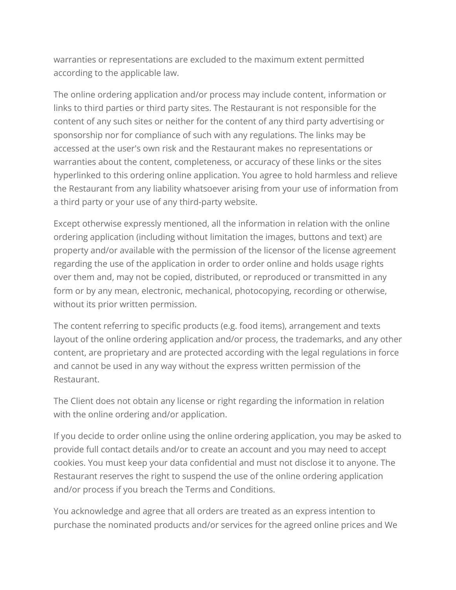warranties or representations are excluded to the maximum extent permitted according to the applicable law.

The online ordering application and/or process may include content, information or links to third parties or third party sites. The Restaurant is not responsible for the content of any such sites or neither for the content of any third party advertising or sponsorship nor for compliance of such with any regulations. The links may be accessed at the user's own risk and the Restaurant makes no representations or warranties about the content, completeness, or accuracy of these links or the sites hyperlinked to this ordering online application. You agree to hold harmless and relieve the Restaurant from any liability whatsoever arising from your use of information from a third party or your use of any third-party website.

Except otherwise expressly mentioned, all the information in relation with the online ordering application (including without limitation the images, buttons and text) are property and/or available with the permission of the licensor of the license agreement regarding the use of the application in order to order online and holds usage rights over them and, may not be copied, distributed, or reproduced or transmitted in any form or by any mean, electronic, mechanical, photocopying, recording or otherwise, without its prior written permission.

The content referring to specific products (e.g. food items), arrangement and texts layout of the online ordering application and/or process, the trademarks, and any other content, are proprietary and are protected according with the legal regulations in force and cannot be used in any way without the express written permission of the Restaurant.

The Client does not obtain any license or right regarding the information in relation with the online ordering and/or application.

If you decide to order online using the online ordering application, you may be asked to provide full contact details and/or to create an account and you may need to accept cookies. You must keep your data confidential and must not disclose it to anyone. The Restaurant reserves the right to suspend the use of the online ordering application and/or process if you breach the Terms and Conditions.

You acknowledge and agree that all orders are treated as an express intention to purchase the nominated products and/or services for the agreed online prices and We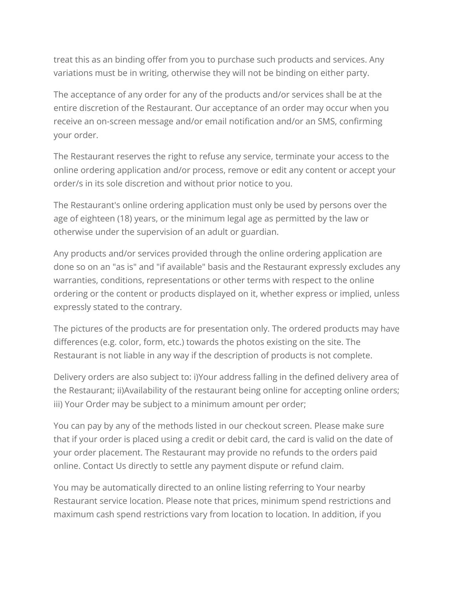treat this as an binding offer from you to purchase such products and services. Any variations must be in writing, otherwise they will not be binding on either party.

The acceptance of any order for any of the products and/or services shall be at the entire discretion of the Restaurant. Our acceptance of an order may occur when you receive an on-screen message and/or email notification and/or an SMS, confirming your order.

The Restaurant reserves the right to refuse any service, terminate your access to the online ordering application and/or process, remove or edit any content or accept your order/s in its sole discretion and without prior notice to you.

The Restaurant's online ordering application must only be used by persons over the age of eighteen (18) years, or the minimum legal age as permitted by the law or otherwise under the supervision of an adult or guardian.

Any products and/or services provided through the online ordering application are done so on an "as is" and "if available" basis and the Restaurant expressly excludes any warranties, conditions, representations or other terms with respect to the online ordering or the content or products displayed on it, whether express or implied, unless expressly stated to the contrary.

The pictures of the products are for presentation only. The ordered products may have differences (e.g. color, form, etc.) towards the photos existing on the site. The Restaurant is not liable in any way if the description of products is not complete.

Delivery orders are also subject to: i)Your address falling in the defined delivery area of the Restaurant; ii)Availability of the restaurant being online for accepting online orders; iii) Your Order may be subject to a minimum amount per order;

You can pay by any of the methods listed in our checkout screen. Please make sure that if your order is placed using a credit or debit card, the card is valid on the date of your order placement. The Restaurant may provide no refunds to the orders paid online. Contact Us directly to settle any payment dispute or refund claim.

You may be automatically directed to an online listing referring to Your nearby Restaurant service location. Please note that prices, minimum spend restrictions and maximum cash spend restrictions vary from location to location. In addition, if you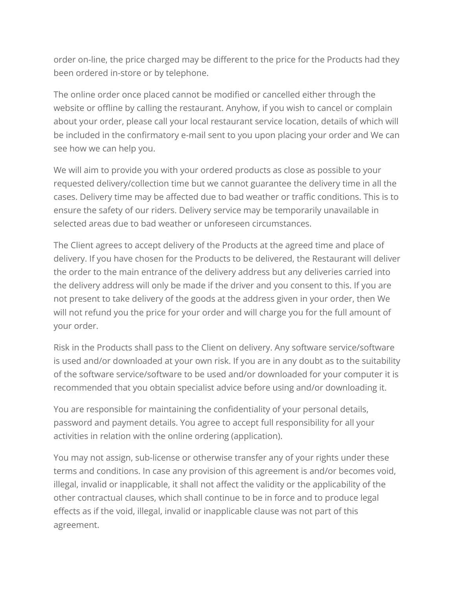order on-line, the price charged may be different to the price for the Products had they been ordered in-store or by telephone.

The online order once placed cannot be modified or cancelled either through the website or offline by calling the restaurant. Anyhow, if you wish to cancel or complain about your order, please call your local restaurant service location, details of which will be included in the confirmatory e-mail sent to you upon placing your order and We can see how we can help you.

We will aim to provide you with your ordered products as close as possible to your requested delivery/collection time but we cannot guarantee the delivery time in all the cases. Delivery time may be affected due to bad weather or traffic conditions. This is to ensure the safety of our riders. Delivery service may be temporarily unavailable in selected areas due to bad weather or unforeseen circumstances.

The Client agrees to accept delivery of the Products at the agreed time and place of delivery. If you have chosen for the Products to be delivered, the Restaurant will deliver the order to the main entrance of the delivery address but any deliveries carried into the delivery address will only be made if the driver and you consent to this. If you are not present to take delivery of the goods at the address given in your order, then We will not refund you the price for your order and will charge you for the full amount of your order.

Risk in the Products shall pass to the Client on delivery. Any software service/software is used and/or downloaded at your own risk. If you are in any doubt as to the suitability of the software service/software to be used and/or downloaded for your computer it is recommended that you obtain specialist advice before using and/or downloading it.

You are responsible for maintaining the confidentiality of your personal details, password and payment details. You agree to accept full responsibility for all your activities in relation with the online ordering (application).

You may not assign, sub-license or otherwise transfer any of your rights under these terms and conditions. In case any provision of this agreement is and/or becomes void, illegal, invalid or inapplicable, it shall not affect the validity or the applicability of the other contractual clauses, which shall continue to be in force and to produce legal effects as if the void, illegal, invalid or inapplicable clause was not part of this agreement.